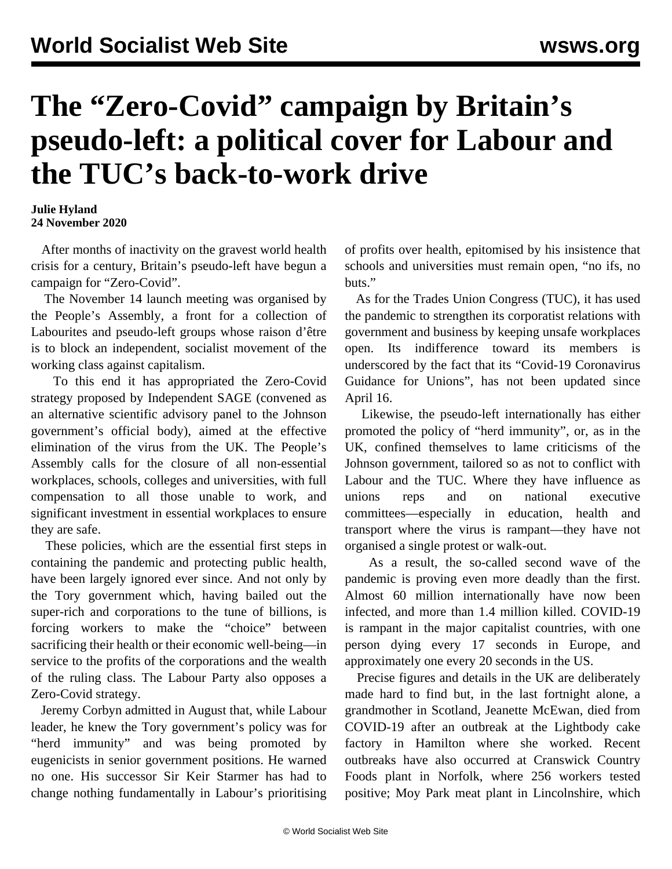## **The "Zero-Covid" campaign by Britain's pseudo-left: a political cover for Labour and the TUC's back-to-work drive**

## **Julie Hyland 24 November 2020**

 After months of inactivity on the gravest world health crisis for a century, Britain's pseudo-left have begun a campaign for "Zero-Covid".

 The November 14 launch meeting was organised by the People's Assembly, a front for a collection of Labourites and pseudo-left groups whose raison d'être is to block an independent, socialist movement of the working class against capitalism.

 To this end it has appropriated the Zero-Covid strategy proposed by Independent SAGE (convened as an alternative scientific advisory panel to the Johnson government's official body), aimed at the effective elimination of the virus from the UK. The People's Assembly calls for the closure of all non-essential workplaces, schools, colleges and universities, with full compensation to all those unable to work, and significant investment in essential workplaces to ensure they are safe.

 These policies, which are the essential first steps in containing the pandemic and protecting public health, have been largely ignored ever since. And not only by the Tory government which, having bailed out the super-rich and corporations to the tune of billions, is forcing workers to make the "choice" between sacrificing their health or their economic well-being—in service to the profits of the corporations and the wealth of the ruling class. The Labour Party also opposes a Zero-Covid strategy.

 Jeremy Corbyn [admitted](/en/articles/2020/08/24/corb-a24.html) in August that, while Labour leader, he knew the Tory government's policy was for "herd immunity" and was being promoted by eugenicists in senior government positions. He warned no one. His successor Sir Keir Starmer has had to change nothing fundamentally in Labour's prioritising

of profits over health, epitomised by his insistence that schools and universities must remain open, "no ifs, no buts."

 As for the Trades Union Congress (TUC), it has used the pandemic to strengthen its corporatist relations with government and business by keeping unsafe workplaces open. Its indifference toward its members is underscored by the fact that its "Covid-19 Coronavirus Guidance for Unions", has not been updated since April 16.

 Likewise, the pseudo-left internationally has either [promoted](/en/articles/2020/10/07/jaco-o07.html) the policy of "herd immunity", or, as in the UK, confined themselves to lame criticisms of the Johnson government, tailored so as not to conflict with Labour and the TUC. Where they have influence as unions reps and on national executive committees—especially in education, health and transport where the virus is rampant—they have not organised a single protest or walk-out.

 As a result, the so-called second wave of the pandemic is proving even more deadly than the first. Almost 60 million internationally have now been infected, and more than 1.4 million killed. COVID-19 is rampant in the major capitalist countries, with one person dying every 17 seconds in Europe, and approximately one every 20 seconds in the US.

 Precise figures and details in the UK are deliberately made hard to find but, in the last fortnight alone, a grandmother in Scotland, Jeanette McEwan, died from COVID-19 after an outbreak at the Lightbody cake factory in Hamilton where she worked. Recent outbreaks have also occurred at Cranswick Country Foods plant in Norfolk, where 256 workers tested positive; Moy Park meat plant in Lincolnshire, which